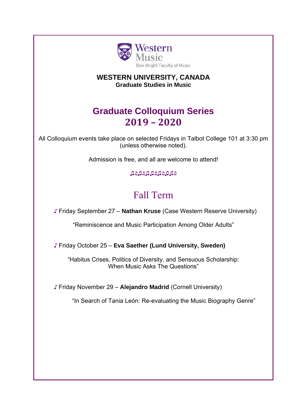

### **WESTERN UNIVERSITY, CANADA Graduate Studies in Music**

## **Graduate Colloquium Series 2019 – 2020**

All Colloquium events take place on selected Fridays in Talbot College 101 at 3:30 pm (unless otherwise noted).

Admission is free, and all are welcome to attend!

♫♬♫♬♫♫♬♫♬♫♫♬

# Fall Term

♪ Friday September 27 – **Nathan Kruse** (Case Western Reserve University)

"Reminiscence and Music Participation Among Older Adults"

♪ Friday October 25 – **Eva Saether (Lund University, Sweden)**

"Habitus Crises, Politics of Diversity, and Sensuous Scholarship: When Music Asks The Questions"

♪ Friday November 29 – **Alejandro Madrid** (Cornell University)

"In Search of Tania León: Re-evaluating the Music Biography Genre"